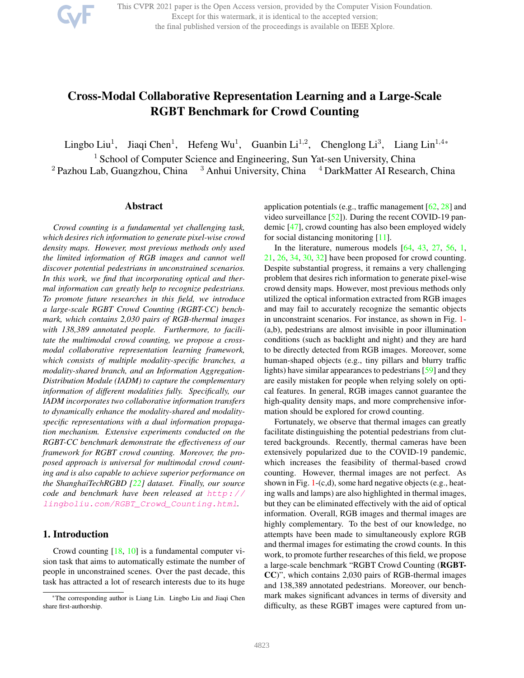

This CVPR 2021 paper is the Open Access version, provided by the Computer Vision Foundation. Except for this watermark, it is identical to the accepted version; the final published version of the proceedings is available on IEEE Xplore.

# Cross-Modal Collaborative Representation Learning and a Large-Scale RGBT Benchmark for Crowd Counting

Lingbo Liu<sup>1</sup>, Jiaqi Chen<sup>1</sup>, Hefeng Wu<sup>1</sup>, Guanbin Li<sup>1,2</sup>, Chenglong Li<sup>3</sup>, Liang Lin<sup>1,4\*</sup>

<sup>1</sup> School of Computer Science and Engineering, Sun Yat-sen University, China

<sup>2</sup> Pazhou Lab, Guangzhou, China  $\frac{3}{3}$  Anhui University, China  $\frac{4}{3}$  DarkMatter AI Research, China

#### Abstract

*Crowd counting is a fundamental yet challenging task, which desires rich information to generate pixel-wise crowd density maps. However, most previous methods only used the limited information of RGB images and cannot well discover potential pedestrians in unconstrained scenarios. In this work, we find that incorporating optical and thermal information can greatly help to recognize pedestrians. To promote future researches in this field, we introduce a large-scale RGBT Crowd Counting (RGBT-CC) benchmark, which contains 2,030 pairs of RGB-thermal images with 138,389 annotated people. Furthermore, to facilitate the multimodal crowd counting, we propose a crossmodal collaborative representation learning framework, which consists of multiple modality-specific branches, a modality-shared branch, and an Information Aggregation-Distribution Module (IADM) to capture the complementary information of different modalities fully. Specifically, our IADM incorporates two collaborative information transfers to dynamically enhance the modality-shared and modalityspecific representations with a dual information propagation mechanism. Extensive experiments conducted on the RGBT-CC benchmark demonstrate the effectiveness of our framework for RGBT crowd counting. Moreover, the proposed approach is universal for multimodal crowd counting and is also capable to achieve superior performance on the ShanghaiTechRGBD [22] dataset. Finally, our source code and benchmark have been released at http:// lingboliu.com/RGBT\_Crowd\_Counting.html.*

# 1. Introduction

Crowd counting [18, 10] is a fundamental computer vision task that aims to automatically estimate the number of people in unconstrained scenes. Over the past decade, this task has attracted a lot of research interests due to its huge

application potentials (e.g., traffic management [62, 28] and video surveillance [52]). During the recent COVID-19 pandemic [47], crowd counting has also been employed widely for social distancing monitoring [11].

In the literature, numerous models [64, 43, 27, 56, 1, 21, 26, 34, 30, 32] have been proposed for crowd counting. Despite substantial progress, it remains a very challenging problem that desires rich information to generate pixel-wise crowd density maps. However, most previous methods only utilized the optical information extracted from RGB images and may fail to accurately recognize the semantic objects in unconstraint scenarios. For instance, as shown in Fig. 1- (a,b), pedestrians are almost invisible in poor illumination conditions (such as backlight and night) and they are hard to be directly detected from RGB images. Moreover, some human-shaped objects (e.g., tiny pillars and blurry traffic lights) have similar appearances to pedestrians [59] and they are easily mistaken for people when relying solely on optical features. In general, RGB images cannot guarantee the high-quality density maps, and more comprehensive information should be explored for crowd counting.

Fortunately, we observe that thermal images can greatly facilitate distinguishing the potential pedestrians from cluttered backgrounds. Recently, thermal cameras have been extensively popularized due to the COVID-19 pandemic, which increases the feasibility of thermal-based crowd counting. However, thermal images are not perfect. As shown in Fig. 1-(c,d), some hard negative objects (e.g., heating walls and lamps) are also highlighted in thermal images, but they can be eliminated effectively with the aid of optical information. Overall, RGB images and thermal images are highly complementary. To the best of our knowledge, no attempts have been made to simultaneously explore RGB and thermal images for estimating the crowd counts. In this work, to promote further researches of this field, we propose a large-scale benchmark "RGBT Crowd Counting (RGBT-CC)", which contains 2,030 pairs of RGB-thermal images and 138,389 annotated pedestrians. Moreover, our benchmark makes significant advances in terms of diversity and difficulty, as these RGBT images were captured from un-

<sup>\*</sup>The corresponding author is Liang Lin. Lingbo Liu and Jiaqi Chen share first-authorship.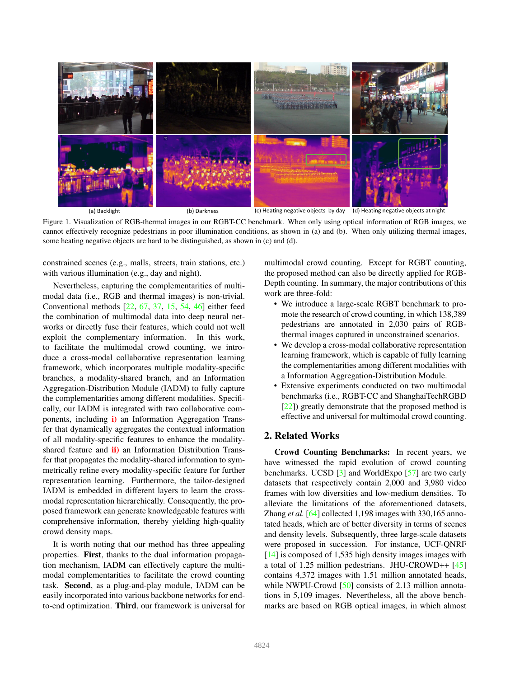

Figure 1. Visualization of RGB-thermal images in our RGBT-CC benchmark. When only using optical information of RGB images, we cannot effectively recognize pedestrians in poor illumination conditions, as shown in (a) and (b). When only utilizing thermal images, some heating negative objects are hard to be distinguished, as shown in (c) and (d).

constrained scenes (e.g., malls, streets, train stations, etc.) with various illumination (e.g., day and night).

Nevertheless, capturing the complementarities of multimodal data (i.e., RGB and thermal images) is non-trivial. Conventional methods [22, 67, 37, 15, 54, 46] either feed the combination of multimodal data into deep neural networks or directly fuse their features, which could not well exploit the complementary information. In this work, to facilitate the multimodal crowd counting, we introduce a cross-modal collaborative representation learning framework, which incorporates multiple modality-specific branches, a modality-shared branch, and an Information Aggregation-Distribution Module (IADM) to fully capture the complementarities among different modalities. Specifically, our IADM is integrated with two collaborative components, including i) an Information Aggregation Transfer that dynamically aggregates the contextual information of all modality-specific features to enhance the modalityshared feature and *ii*) an Information Distribution Transfer that propagates the modality-shared information to symmetrically refine every modality-specific feature for further representation learning. Furthermore, the tailor-designed IADM is embedded in different layers to learn the crossmodal representation hierarchically. Consequently, the proposed framework can generate knowledgeable features with comprehensive information, thereby yielding high-quality crowd density maps.

It is worth noting that our method has three appealing properties. First, thanks to the dual information propagation mechanism, IADM can effectively capture the multimodal complementarities to facilitate the crowd counting task. Second, as a plug-and-play module, IADM can be easily incorporated into various backbone networks for endto-end optimization. Third, our framework is universal for multimodal crowd counting. Except for RGBT counting, the proposed method can also be directly applied for RGB-Depth counting. In summary, the major contributions of this work are three-fold:

- We introduce a large-scale RGBT benchmark to promote the research of crowd counting, in which 138,389 pedestrians are annotated in 2,030 pairs of RGBthermal images captured in unconstrained scenarios.
- We develop a cross-modal collaborative representation learning framework, which is capable of fully learning the complementarities among different modalities with a Information Aggregation-Distribution Module.
- Extensive experiments conducted on two multimodal benchmarks (i.e., RGBT-CC and ShanghaiTechRGBD [22]) greatly demonstrate that the proposed method is effective and universal for multimodal crowd counting.

# 2. Related Works

Crowd Counting Benchmarks: In recent years, we have witnessed the rapid evolution of crowd counting benchmarks. UCSD [3] and WorldExpo [57] are two early datasets that respectively contain 2,000 and 3,980 video frames with low diversities and low-medium densities. To alleviate the limitations of the aforementioned datasets, Zhang *et al.* [64] collected 1,198 images with 330,165 annotated heads, which are of better diversity in terms of scenes and density levels. Subsequently, three large-scale datasets were proposed in succession. For instance, UCF-QNRF [14] is composed of 1,535 high density images images with a total of 1.25 million pedestrians. JHU-CROWD++ [45] contains 4,372 images with 1.51 million annotated heads, while NWPU-Crowd [50] consists of 2.13 million annotations in 5,109 images. Nevertheless, all the above benchmarks are based on RGB optical images, in which almost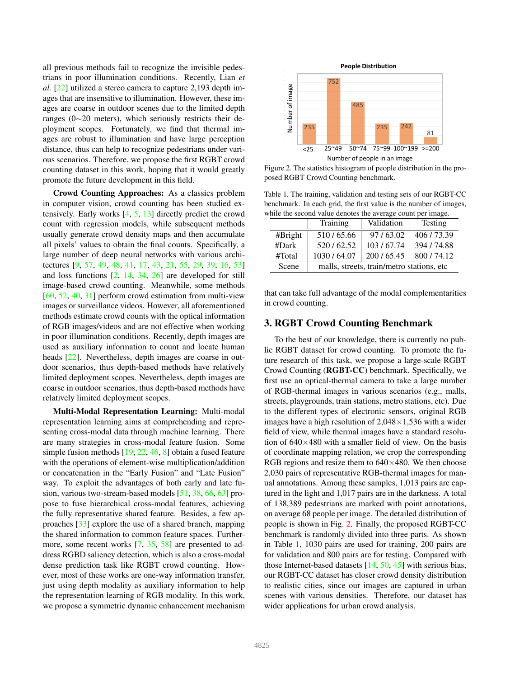all previous methods fail to recognize the invisible pedestrians in poor illumination conditions. Recently, Lian *et al.* [22] utilized a stereo camera to capture 2,193 depth images that are insensitive to illumination. However, these images are coarse in outdoor scenes due to the limited depth ranges (0∼20 meters), which seriously restricts their deployment scopes. Fortunately, we find that thermal images are robust to illumination and have large perception distance, thus can help to recognize pedestrians under various scenarios. Therefore, we propose the first RGBT crowd counting dataset in this work, hoping that it would greatly promote the future development in this field.

Crowd Counting Approaches: As a classics problem in computer vision, crowd counting has been studied extensively. Early works [4, 5, 13] directly predict the crowd count with regression models, while subsequent methods usually generate crowd density maps and then accumulate all pixels' values to obtain the final counts. Specifically, a large number of deep neural networks with various architectures [9, 57, 49, 48, 41, 17, 43, 21, 55, 29, 39, 16, 53] and loss functions [2, 14, 34, 26] are developed for still image-based crowd counting. Meanwhile, some methods [60, 52, 40, 31] perform crowd estimation from multi-view images or surveillance videos. However, all aforementioned methods estimate crowd counts with the optical information of RGB images/videos and are not effective when working in poor illumination conditions. Recently, depth images are used as auxiliary information to count and locate human heads [22]. Nevertheless, depth images are coarse in outdoor scenarios, thus depth-based methods have relatively limited deployment scopes. Nevertheless, depth images are coarse in outdoor scenarios, thus depth-based methods have relatively limited deployment scopes.

Multi-Modal Representation Learning: Multi-modal representation learning aims at comprehending and representing cross-modal data through machine learning. There are many strategies in cross-modal feature fusion. Some simple fusion methods [19, 22, 46, 8] obtain a fused feature with the operations of element-wise multiplication/addition or concatenation in the "Early Fusion" and "Late Fusion" way. To exploit the advantages of both early and late fusion, various two-stream-based models [51, 38, 66, 63] propose to fuse hierarchical cross-modal features, achieving the fully representative shared feature. Besides, a few approaches [33] explore the use of a shared branch, mapping the shared information to common feature spaces. Furthermore, some recent works [7, 35, 58] are presented to address RGBD saliency detection, which is also a cross-modal dense prediction task like RGBT crowd counting. However, most of these works are one-way information transfer, just using depth modality as auxiliary information to help the representation learning of RGB modality. In this work, we propose a symmetric dynamic enhancement mechanism



Figure 2. The statistics histogram of people distribution in the proposed RGBT Crowd Counting benchmark.

Table 1. The training, validation and testing sets of our RGBT-CC benchmark. In each grid, the first value is the number of images, while the second value denotes the average count per image.

|         | Training                                  | Validation | Testing   |  |  |
|---------|-------------------------------------------|------------|-----------|--|--|
| #Bright | 510/65.66                                 | 97/63.02   | 406/73.39 |  |  |
| #Dark   | 520/62.52                                 | 103/67.74  | 394/74.88 |  |  |
| #Total  | 1030 / 64.07                              | 200/65.45  | 800/74.12 |  |  |
| Scene   | malls, streets, train/metro stations, etc |            |           |  |  |

that can take full advantage of the modal complementarities in crowd counting.

## 3. RGBT Crowd Counting Benchmark

To the best of our knowledge, there is currently no public RGBT dataset for crowd counting. To promote the future research of this task, we propose a large-scale RGBT Crowd Counting (RGBT-CC) benchmark. Specifically, we first use an optical-thermal camera to take a large number of RGB-thermal images in various scenarios (e.g., malls, streets, playgrounds, train stations, metro stations, etc). Due to the different types of electronic sensors, original RGB images have a high resolution of  $2,048 \times 1,536$  with a wider field of view, while thermal images have a standard resolution of  $640\times480$  with a smaller field of view. On the basis of coordinate mapping relation, we crop the corresponding RGB regions and resize them to  $640\times480$ . We then choose 2,030 pairs of representative RGB-thermal images for manual annotations. Among these samples, 1,013 pairs are captured in the light and 1,017 pairs are in the darkness. A total of 138,389 pedestrians are marked with point annotations, on average 68 people per image. The detailed distribution of people is shown in Fig. 2. Finally, the proposed RGBT-CC benchmark is randomly divided into three parts. As shown in Table 1, 1030 pairs are used for training, 200 pairs are for validation and 800 pairs are for testing. Compared with those Internet-based datasets [14, 50, 45] with serious bias, our RGBT-CC dataset has closer crowd density distribution to realistic cities, since our images are captured in urban scenes with various densities. Therefore, our dataset has wider applications for urban crowd analysis.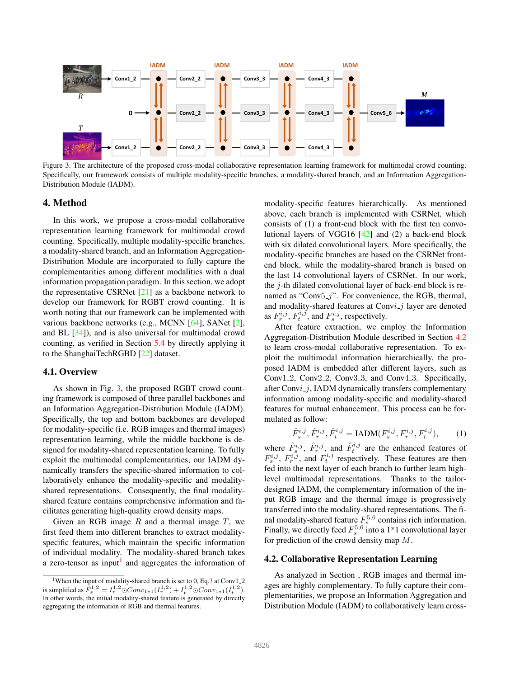

Figure 3. The architecture of the proposed cross-modal collaborative representation learning framework for multimodal crowd counting. Specifically, our framework consists of multiple modality-specific branches, a modality-shared branch, and an Information Aggregation-Distribution Module (IADM).

## 4. Method

In this work, we propose a cross-modal collaborative representation learning framework for multimodal crowd counting. Specifically, multiple modality-specific branches, a modality-shared branch, and an Information Aggregation-Distribution Module are incorporated to fully capture the complementarities among different modalities with a dual information propagation paradigm. In this section, we adopt the representative CSRNet [21] as a backbone network to develop our framework for RGBT crowd counting. It is worth noting that our framework can be implemented with various backbone networks (e.g., MCNN [64], SANet [2], and BL [34]), and is also universal for multimodal crowd counting, as verified in Section 5.4 by directly applying it to the ShanghaiTechRGBD [22] dataset.

## 4.1. Overview

As shown in Fig. 3, the proposed RGBT crowd counting framework is composed of three parallel backbones and an Information Aggregation-Distribution Module (IADM). Specifically, the top and bottom backbones are developed for modality-specific (i.e. RGB images and thermal images) representation learning, while the middle backbone is designed for modality-shared representation learning. To fully exploit the multimodal complementarities, our IADM dynamically transfers the specific-shared information to collaboratively enhance the modality-specific and modalityshared representations. Consequently, the final modalityshared feature contains comprehensive information and facilitates generating high-quality crowd density maps.

Given an RGB image  $R$  and a thermal image  $T$ , we first feed them into different branches to extract modalityspecific features, which maintain the specific information of individual modality. The modality-shared branch takes a zero-tensor as input<sup>1</sup> and aggregates the information of

modality-specific features hierarchically. As mentioned above, each branch is implemented with CSRNet, which consists of (1) a front-end block with the first ten convolutional layers of VGG16 [42] and (2) a back-end block with six dilated convolutional layers. More specifically, the modality-specific branches are based on the CSRNet frontend block, while the modality-shared branch is based on the last 14 convolutional layers of CSRNet. In our work, the j-th dilated convolutional layer of back-end block is renamed as "Conv $5\frac{1}{7}$ ". For convenience, the RGB, thermal, and modality-shared features at Convi<sub>-</sub>j layer are denoted as  $F_r^{i,j}$ ,  $F_t^{i,j}$ , and  $F_s^{i,j}$ , respectively.

After feature extraction, we employ the Information Aggregation-Distribution Module described in Section 4.2 to learn cross-modal collaborative representation. To exploit the multimodal information hierarchically, the proposed IADM is embedded after different layers, such as Conv1<sub>-2</sub>, Conv2<sub>-2</sub>, Conv3<sub>-3</sub>, and Conv4<sub>-3</sub>. Specifically, after Convi<sub>-1</sub>, IADM dynamically transfers complementary information among modality-specific and modality-shared features for mutual enhancement. This process can be formulated as follow:

$$
\hat{F}_s^{i,j}, \hat{F}_r^{i,j}, \hat{F}_t^{i,j} = \text{IADM}(F_s^{i,j}, F_r^{i,j}, F_t^{i,j}), \tag{1}
$$

where  $\hat{F}_s^{i,j}$ ,  $\hat{F}_r^{i,j}$ , and  $\hat{F}_t^{i,j}$  are the enhanced features of  $F_s^{i,j}$ ,  $F_r^{i,j}$ , and  $F_t^{i,j}$  respectively. These features are then fed into the next layer of each branch to further learn highlevel multimodal representations. Thanks to the tailordesigned IADM, the complementary information of the input RGB image and the thermal image is progressively transferred into the modality-shared representations. The final modality-shared feature  $F_s^{5,6}$  contains rich information. Finally, we directly feed  $F_s^{5,6}$  into a 1\*1 convolutional layer for prediction of the crowd density map M.

#### 4.2. Collaborative Representation Learning

As analyzed in Section , RGB images and thermal images are highly complementary. To fully capture their complementarities, we propose an Information Aggregation and Distribution Module (IADM) to collaboratively learn cross-

<sup>&</sup>lt;sup>1</sup>When the input of modality-shared branch is set to 0, Eq.3 at Conv1<sub>-2</sub> is simplified as  $\hat{F}_s^{1,2} = I_r^{1,2} \odot Conv_{1*1}(I_r^{1,2}) + I_t^{1,2} \odot Conv_{1*1}(I_t^{1,2})$ . In other words, the initial modality-shared feature is generated by directly aggregating the information of RGB and thermal features.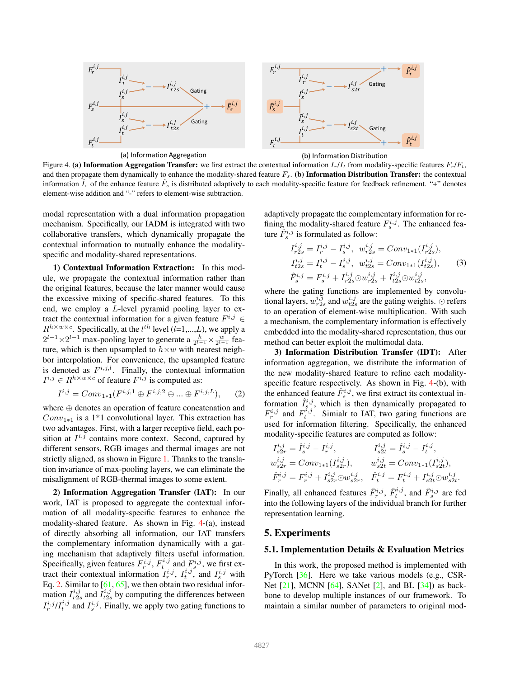



(a) Information Aggregation (b) Information Distribution

Figure 4. (a) Information Aggregation Transfer: we first extract the contextual information  $I_r/I_t$  from modality-specific features  $F_r/F_t$ , and then propagate them dynamically to enhance the modality-shared feature  $F_s$ . (b) Information Distribution Transfer: the contextual information  $\hat{I}_s$  of the enhance feature  $\hat{F}_s$  is distributed adaptively to each modality-specific feature for feedback refinement. "+" denotes element-wise addition and "-" refers to element-wise subtraction.

modal representation with a dual information propagation mechanism. Specifically, our IADM is integrated with two collaborative transfers, which dynamically propagate the contextual information to mutually enhance the modalityspecific and modality-shared representations.

1) Contextual Information Extraction: In this module, we propagate the contextual information rather than the original features, because the later manner would cause the excessive mixing of specific-shared features. To this end, we employ a L-level pyramid pooling layer to extract the contextual information for a given feature  $F^{i,j} \in$  $R^{h \times w \times c}$ . Specifically, at the  $l^{th}$  level  $(l=1,...,L)$ , we apply a  $2^{l-1} \times 2^{l-1}$  max-pooling layer to generate a  $\frac{h}{2^{l-1}} \times \frac{w}{2^{l-1}}$  feature, which is then upsampled to  $h \times w$  with nearest neighbor interpolation. For convenience, the upsampled feature is denoted as  $F^{i,j,l}$ . Finally, the contextual information  $I^{i,j} \in R^{h \times w \times c}$  of feature  $F^{i,j}$  is computed as:

$$
I^{i,j} = Conv_{1*1}(F^{i,j,1} \oplus F^{i,j,2} \oplus \dots \oplus F^{i,j,L}),
$$
 (2)

where ⊕ denotes an operation of feature concatenation and  $Conv_{1*1}$  is a 1\*1 convolutional layer. This extraction has two advantages. First, with a larger receptive field, each position at  $I^{i,j}$  contains more context. Second, captured by different sensors, RGB images and thermal images are not strictly aligned, as shown in Figure 1. Thanks to the translation invariance of max-pooling layers, we can eliminate the misalignment of RGB-thermal images to some extent.

2) Information Aggregation Transfer (IAT): In our work, IAT is proposed to aggregate the contextual information of all modality-specific features to enhance the modality-shared feature. As shown in Fig. 4-(a), instead of directly absorbing all information, our IAT transfers the complementary information dynamically with a gating mechanism that adaptively filters useful information. Specifically, given features  $F_r^{i,j}$ ,  $F_t^{i,j}$  and  $F_s^{i,j}$ , we first extract their contextual information  $I_r^{i,j}$ ,  $I_t^{i,j}$ , and  $I_s^{i,j}$  with Eq. 2. Similar to  $[61, 65]$ , we then obtain two residual information  $I_{r2s}^{i,j}$  and  $I_{t2s}^{i,j}$  by computing the differences between  $I_r^{i,j} / I_t^{i,j}$  and  $I_s^{i,j}$ . Finally, we apply two gating functions to

adaptively propagate the complementary information for refining the modality-shared feature  $F_s^{i,j}$ . The enhanced feature  $\hat{F}_s^{i,j}$  is formulated as follow:

$$
I_{r2s}^{i,j} = I_r^{i,j} - I_s^{i,j}, \quad w_{r2s}^{i,j} = Conv_{1*1}(I_{r2s}^{i,j}),
$$
  
\n
$$
I_{t2s}^{i,j} = I_t^{i,j} - I_s^{i,j}, \quad w_{t2s}^{i,j} = Conv_{1*1}(I_{t2s}^{i,j}),
$$
  
\n
$$
\hat{F}_s^{i,j} = F_s^{i,j} + I_{r2s}^{i,j} \odot w_{r2s}^{i,j} + I_{t2s}^{i,j} \odot w_{t2s}^{i,j},
$$
\n(3)

where the gating functions are implemented by convolutional layers,  $w_{r2s}^{i,j}$  and  $w_{t2s}^{i,j}$  are the gating weights.  $\odot$  refers to an operation of element-wise multiplication. With such a mechanism, the complementary information is effectively embedded into the modality-shared representation, thus our method can better exploit the multimodal data.

3) Information Distribution Transfer (IDT): After information aggregation, we distribute the information of the new modality-shared feature to refine each modalityspecific feature respectively. As shown in Fig. 4-(b), with the enhanced feature  $\hat{F}_s^{i,j}$ , we first extract its contextual information  $\hat{I}_{s}^{i,j}$ , which is then dynamically propagated to  $F_r^{i,j}$  and  $F_t^{i,j}$ . Simialr to IAT, two gating functions are used for information filtering. Specifically, the enhanced modality-specific features are computed as follow:

$$
\begin{aligned} I^{i,j}_{s2r} &= \hat{I}^{i,j}_s - I^{i,j}_r, & I^{i,j}_{s2t} &= \hat{I}^{i,j}_s - I^{i,j}_t, \\ w^{i,j}_{s2r} &= Conv_{1*1}(I^{i,j}_{s2r}), & w^{i,j}_{s2t} &= Conv_{1*1}(I^{i,j}_{s2t}), \\ \hat{F}^{i,j}_r &= F^{i,j}_r + I^{i,j}_{s2r} \odot w^{i,j}_{s2r}, & \hat{F}^{i,j}_t &= F^{i,j}_t + I^{i,j}_{s2t} \odot w^{i,j}_{s2t}. \end{aligned}
$$

Finally, all enhanced features  $\hat{F}_r^{i,j}$ ,  $\hat{F}_t^{i,j}$ , and  $\hat{F}_s^{i,j}$  are fed into the following layers of the individual branch for further representation learning.

#### 5. Experiments

#### 5.1. Implementation Details & Evaluation Metrics

In this work, the proposed method is implemented with PyTorch [36]. Here we take various models (e.g., CSR-Net  $[21]$ , MCNN  $[64]$ , SANet  $[2]$ , and BL  $[34]$ ) as backbone to develop multiple instances of our framework. To maintain a similar number of parameters to original mod-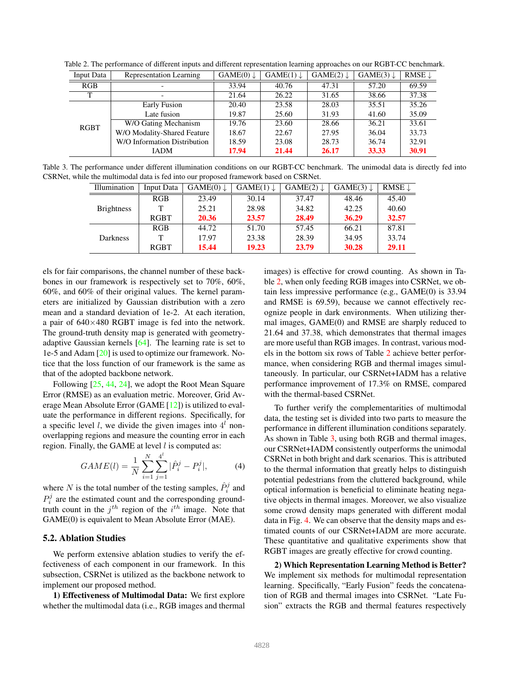| Input Data  | Representation Learning      | $GAME(0) \downarrow$ | $GAME(1) \downarrow$ | $GAME(2) \downarrow$ | $GAME(3) \downarrow$ | RMSE $\downarrow$ |
|-------------|------------------------------|----------------------|----------------------|----------------------|----------------------|-------------------|
| RGB         | $\overline{\phantom{0}}$     | 33.94                | 40.76                | 47.31                | 57.20                | 69.59             |
| Т           | $\overline{\phantom{0}}$     | 21.64                | 26.22                | 31.65                | 38.66                | 37.38             |
| <b>RGBT</b> | Early Fusion                 | 20.40                | 23.58                | 28.03                | 35.51                | 35.26             |
|             | Late fusion                  | 19.87                | 25.60                | 31.93                | 41.60                | 35.09             |
|             | W/O Gating Mechanism         | 19.76                | 23.60                | 28.66                | 36.21                | 33.61             |
|             | W/O Modality-Shared Feature  | 18.67                | 22.67                | 27.95                | 36.04                | 33.73             |
|             | W/O Information Distribution | 18.59                | 23.08                | 28.73                | 36.74                | 32.91             |
|             | <b>IADM</b>                  | 17.94                | 21.44                | 26.17                | 33.33                | 30.91             |

Table 2. The performance of different inputs and different representation learning approaches on our RGBT-CC benchmark.

Table 3. The performance under different illumination conditions on our RGBT-CC benchmark. The unimodal data is directly fed into CSRNet, while the multimodal data is fed into our proposed framework based on CSRNet.

| Illumination      | Input Data | $GAME(0) \downarrow$ | $GAME(1) \downarrow$ | $GAME(2) \downarrow$ | $GAME(3) \downarrow$ | RMSE $\downarrow$ |
|-------------------|------------|----------------------|----------------------|----------------------|----------------------|-------------------|
| <b>Brightness</b> | <b>RGB</b> | 23.49                | 30.14                | 37.47                | 48.46                | 45.40             |
|                   | т          | 25.21                | 28.98                | 34.82                | 42.25                | 40.60             |
|                   | RGBT       | 20.36                | 23.57                | 28.49                | 36.29                | 32.57             |
| Darkness          | <b>RGB</b> | 44.72                | 51.70                | 57.45                | 66.21                | 87.81             |
|                   | т          | 17.97                | 23.38                | 28.39                | 34.95                | 33.74             |
|                   | RGBT       | 15.44                | 19.23                | 23.79                | 30.28                | 29.11             |

els for fair comparisons, the channel number of these backbones in our framework is respectively set to 70%, 60%, 60%, and 60% of their original values. The kernel parameters are initialized by Gaussian distribution with a zero mean and a standard deviation of 1e-2. At each iteration, a pair of  $640\times480$  RGBT image is fed into the network. The ground-truth density map is generated with geometryadaptive Gaussian kernels [64]. The learning rate is set to 1e-5 and Adam [20] is used to optimize our framework. Notice that the loss function of our framework is the same as that of the adopted backbone network.

Following [25, 44, 24], we adopt the Root Mean Square Error (RMSE) as an evaluation metric. Moreover, Grid Average Mean Absolute Error (GAME [12]) is utilized to evaluate the performance in different regions. Specifically, for a specific level *l*, we divide the given images into  $4<sup>l</sup>$  nonoverlapping regions and measure the counting error in each region. Finally, the GAME at level  $l$  is computed as:

$$
GAME(l) = \frac{1}{N} \sum_{i=1}^{N} \sum_{j=1}^{4^{l}} |\hat{P}_{i}^{j} - P_{i}^{j}|,
$$
 (4)

where N is the total number of the testing samples,  $\hat{P}_i^j$  and  $P_i^j$  are the estimated count and the corresponding groundtruth count in the  $j<sup>th</sup>$  region of the  $i<sup>th</sup>$  image. Note that GAME(0) is equivalent to Mean Absolute Error (MAE).

#### 5.2. Ablation Studies

We perform extensive ablation studies to verify the effectiveness of each component in our framework. In this subsection, CSRNet is utilized as the backbone network to implement our proposed method.

1) Effectiveness of Multimodal Data: We first explore whether the multimodal data (i.e., RGB images and thermal images) is effective for crowd counting. As shown in Table 2, when only feeding RGB images into CSRNet, we obtain less impressive performance (e.g., GAME(0) is 33.94 and RMSE is 69.59), because we cannot effectively recognize people in dark environments. When utilizing thermal images, GAME(0) and RMSE are sharply reduced to 21.64 and 37.38, which demonstrates that thermal images are more useful than RGB images. In contrast, various models in the bottom six rows of Table 2 achieve better performance, when considering RGB and thermal images simultaneously. In particular, our CSRNet+IADM has a relative performance improvement of 17.3% on RMSE, compared with the thermal-based CSRNet.

To further verify the complementarities of multimodal data, the testing set is divided into two parts to measure the performance in different illumination conditions separately. As shown in Table 3, using both RGB and thermal images, our CSRNet+IADM consistently outperforms the unimodal CSRNet in both bright and dark scenarios. This is attributed to the thermal information that greatly helps to distinguish potential pedestrians from the cluttered background, while optical information is beneficial to eliminate heating negative objects in thermal images. Moreover, we also visualize some crowd density maps generated with different modal data in Fig. 4. We can observe that the density maps and estimated counts of our CSRNet+IADM are more accurate. These quantitative and qualitative experiments show that RGBT images are greatly effective for crowd counting.

2) Which Representation Learning Method is Better? We implement six methods for multimodal representation learning. Specifically, "Early Fusion" feeds the concatenation of RGB and thermal images into CSRNet. "Late Fusion" extracts the RGB and thermal features respectively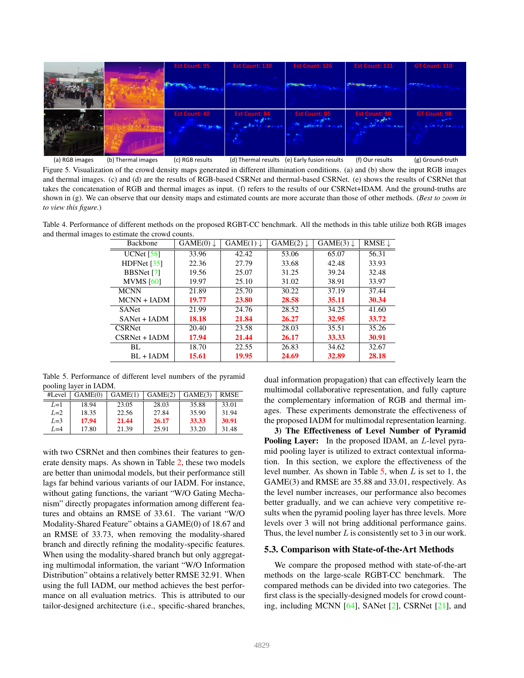

(a) RGB images (b) Thermal images (c) RGB results (d) Thermal results (e) Early fusion results (g) Ground-truth (f) Our results Figure 5. Visualization of the crowd density maps generated in different illumination conditions. (a) and (b) show the input RGB images and thermal images. (c) and (d) are the results of RGB-based CSRNet and thermal-based CSRNet. (e) shows the results of CSRNet that takes the concatenation of RGB and thermal images as input. (f) refers to the results of our CSRNet+IDAM. And the ground-truths are shown in (g). We can observe that our density maps and estimated counts are more accurate than those of other methods. (*Best to zoom in to view this figure.*)

Table 4. Performance of different methods on the proposed RGBT-CC benchmark. All the methods in this table utilize both RGB images and thermal images to estimate the crowd counts.

| <b>Backbone</b> | $GAME(0) \downarrow$ | $GAME(1) \downarrow$ | $GAME(2) \downarrow$ | $GAME(3) \downarrow$ | RMSE $\downarrow$ |
|-----------------|----------------------|----------------------|----------------------|----------------------|-------------------|
| UCNet $[58]$    | 33.96                | 42.42                | 53.06                | 65.07                | 56.31             |
| HDFNet $[35]$   | 22.36                | 27.79                | 33.68                | 42.48                | 33.93             |
| BBSNet [7]      | 19.56                | 25.07                | 31.25                | 39.24                | 32.48             |
| MVMS $[60]$     | 19.97                | 25.10                | 31.02                | 38.91                | 33.97             |
| <b>MCNN</b>     | 21.89                | 25.70                | 30.22                | 37.19                | 37.44             |
| $MCNN + IADM$   | 19.77                | 23.80                | 28.58                | 35.11                | 30.34             |
| <b>SANet</b>    | 21.99                | 24.76                | 28.52                | 34.25                | 41.60             |
| SANet + IADM    | 18.18                | 21.84                | 26.27                | 32.95                | 33.72             |
| <b>CSRNet</b>   | 20.40                | 23.58                | 28.03                | 35.51                | 35.26             |
| $CSRNet + IADM$ | 17.94                | 21.44                | 26.17                | 33.33                | 30.91             |
| BL.             | 18.70                | 22.55                | 26.83                | 34.62                | 32.67             |
| $BL + IADM$     | 15.61                | 19.95                | 24.69                | 32.89                | 28.18             |

Table 5. Performance of different level numbers of the pyramid pooling layer in IADM.

| #Level | GAME(0) | GAME(1) | GAME(2) | GAME(3) | <b>RMSE</b> |
|--------|---------|---------|---------|---------|-------------|
| $L=1$  | 18.94   | 23.05   | 28.03   | 35.88   | 33.01       |
| $L=2$  | 18.35   | 22.56   | 27.84   | 35.90   | 31.94       |
| $L=3$  | 17.94   | 21.44   | 26.17   | 33.33   | 30.91       |
| $L=4$  | 17.80   | 21.39   | 25.91   | 33.20   | 31.48       |

with two CSRNet and then combines their features to generate density maps. As shown in Table 2, these two models are better than unimodal models, but their performance still lags far behind various variants of our IADM. For instance, without gating functions, the variant "W/O Gating Mechanism" directly propagates information among different features and obtains an RMSE of 33.61. The variant "W/O Modality-Shared Feature" obtains a GAME(0) of 18.67 and an RMSE of 33.73, when removing the modality-shared branch and directly refining the modality-specific features. When using the modality-shared branch but only aggregating multimodal information, the variant "W/O Information Distribution" obtains a relatively better RMSE 32.91. When using the full IADM, our method achieves the best performance on all evaluation metrics. This is attributed to our tailor-designed architecture (i.e., specific-shared branches, dual information propagation) that can effectively learn the multimodal collaborative representation, and fully capture the complementary information of RGB and thermal images. These experiments demonstrate the effectiveness of the proposed IADM for multimodal representation learning.

3) The Effectiveness of Level Number of Pyramid Pooling Layer: In the proposed IDAM, an *L*-level pyramid pooling layer is utilized to extract contextual information. In this section, we explore the effectiveness of the level number. As shown in Table 5, when  $L$  is set to 1, the GAME(3) and RMSE are 35.88 and 33.01, respectively. As the level number increases, our performance also becomes better gradually, and we can achieve very competitive results when the pyramid pooling layer has three levels. More levels over 3 will not bring additional performance gains. Thus, the level number  $L$  is consistently set to 3 in our work.

#### 5.3. Comparison with State-of-the-Art Methods

We compare the proposed method with state-of-the-art methods on the large-scale RGBT-CC benchmark. The compared methods can be divided into two categories. The first class is the specially-designed models for crowd counting, including MCNN [64], SANet [2], CSRNet [21], and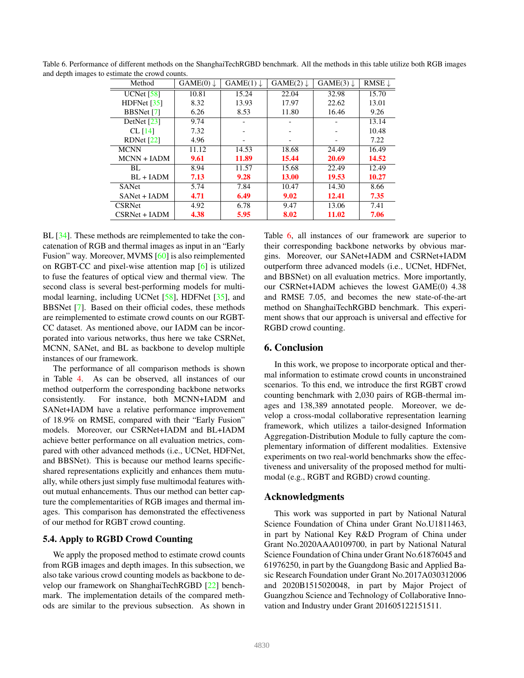| Method            | $GAME(0) \downarrow$ | $GAME(1) \downarrow$ | $GAME(2) \downarrow$ | $GAME(3) \downarrow$ | RMSE $\downarrow$ |
|-------------------|----------------------|----------------------|----------------------|----------------------|-------------------|
| UCNet $[58]$      | 10.81                | 15.24                | 22.04                | 32.98                | 15.70             |
| HDFNet $[35]$     | 8.32                 | 13.93                | 17.97                | 22.62                | 13.01             |
| <b>BBSNet</b> [7] | 6.26                 | 8.53                 | 11.80                | 16.46                | 9.26              |
| DetNet $[23]$     | 9.74                 |                      |                      |                      | 13.14             |
| CL $[14]$         | 7.32                 |                      |                      |                      | 10.48             |
| RDNet $[22]$      | 4.96                 |                      |                      |                      | 7.22              |
| <b>MCNN</b>       | 11.12                | 14.53                | 18.68                | 24.49                | 16.49             |
| $MCNN + IADM$     | 9.61                 | 11.89                | 15.44                | 20.69                | 14.52             |
| BL.               | 8.94                 | 11.57                | 15.68                | 22.49                | 12.49             |
| $BL + IADM$       | 7.13                 | 9.28                 | 13.00                | 19.53                | 10.27             |
| <b>SANet</b>      | 5.74                 | 7.84                 | 10.47                | 14.30                | 8.66              |
| $SANet + IADM$    | 4.71                 | 6.49                 | 9.02                 | 12.41                | 7.35              |
| <b>CSRNet</b>     | 4.92                 | 6.78                 | 9.47                 | 13.06                | 7.41              |
| $CSRNet + IADM$   | 4.38                 | 5.95                 | 8.02                 | 11.02                | 7.06              |

Table 6. Performance of different methods on the ShanghaiTechRGBD benchmark. All the methods in this table utilize both RGB images and depth images to estimate the crowd counts.

BL [34]. These methods are reimplemented to take the concatenation of RGB and thermal images as input in an "Early Fusion" way. Moreover, MVMS [60] is also reimplemented on RGBT-CC and pixel-wise attention map [6] is utilized to fuse the features of optical view and thermal view. The second class is several best-performing models for multimodal learning, including UCNet [58], HDFNet [35], and BBSNet [7]. Based on their official codes, these methods are reimplemented to estimate crowd counts on our RGBT-CC dataset. As mentioned above, our IADM can be incorporated into various networks, thus here we take CSRNet, MCNN, SANet, and BL as backbone to develop multiple instances of our framework.

The performance of all comparison methods is shown in Table 4. As can be observed, all instances of our method outperform the corresponding backbone networks consistently. For instance, both MCNN+IADM and SANet+IADM have a relative performance improvement of 18.9% on RMSE, compared with their "Early Fusion" models. Moreover, our CSRNet+IADM and BL+IADM achieve better performance on all evaluation metrics, compared with other advanced methods (i.e., UCNet, HDFNet, and BBSNet). This is because our method learns specificshared representations explicitly and enhances them mutually, while others just simply fuse multimodal features without mutual enhancements. Thus our method can better capture the complementarities of RGB images and thermal images. This comparison has demonstrated the effectiveness of our method for RGBT crowd counting.

#### 5.4. Apply to RGBD Crowd Counting

We apply the proposed method to estimate crowd counts from RGB images and depth images. In this subsection, we also take various crowd counting models as backbone to develop our framework on ShanghaiTechRGBD [22] benchmark. The implementation details of the compared methods are similar to the previous subsection. As shown in Table 6, all instances of our framework are superior to their corresponding backbone networks by obvious margins. Moreover, our SANet+IADM and CSRNet+IADM outperform three advanced models (i.e., UCNet, HDFNet, and BBSNet) on all evaluation metrics. More importantly, our CSRNet+IADM achieves the lowest GAME(0) 4.38 and RMSE 7.05, and becomes the new state-of-the-art method on ShanghaiTechRGBD benchmark. This experiment shows that our approach is universal and effective for RGBD crowd counting.

### 6. Conclusion

In this work, we propose to incorporate optical and thermal information to estimate crowd counts in unconstrained scenarios. To this end, we introduce the first RGBT crowd counting benchmark with 2,030 pairs of RGB-thermal images and 138,389 annotated people. Moreover, we develop a cross-modal collaborative representation learning framework, which utilizes a tailor-designed Information Aggregation-Distribution Module to fully capture the complementary information of different modalities. Extensive experiments on two real-world benchmarks show the effectiveness and universality of the proposed method for multimodal (e.g., RGBT and RGBD) crowd counting.

#### Acknowledgments

This work was supported in part by National Natural Science Foundation of China under Grant No.U1811463, in part by National Key R&D Program of China under Grant No.2020AAA0109700, in part by National Natural Science Foundation of China under Grant No.61876045 and 61976250, in part by the Guangdong Basic and Applied Basic Research Foundation under Grant No.2017A030312006 and 2020B1515020048, in part by Major Project of Guangzhou Science and Technology of Collaborative Innovation and Industry under Grant 201605122151511.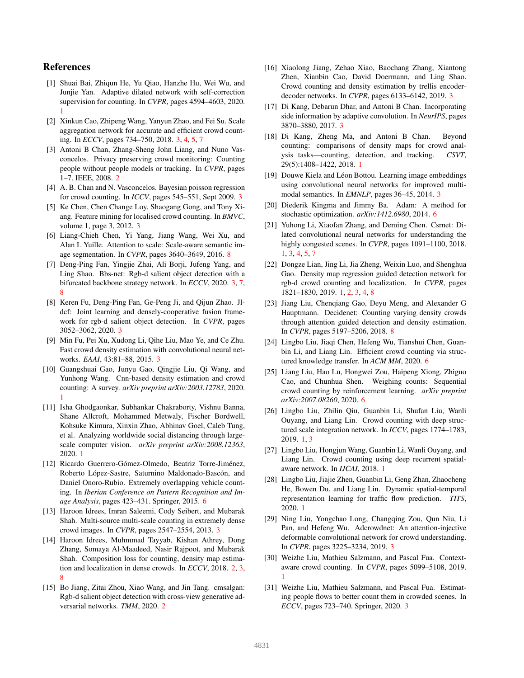## References

- [1] Shuai Bai, Zhiqun He, Yu Qiao, Hanzhe Hu, Wei Wu, and Junjie Yan. Adaptive dilated network with self-correction supervision for counting. In *CVPR*, pages 4594–4603, 2020. 1
- [2] Xinkun Cao, Zhipeng Wang, Yanyun Zhao, and Fei Su. Scale aggregation network for accurate and efficient crowd counting. In *ECCV*, pages 734–750, 2018. 3, 4, 5, 7
- [3] Antoni B Chan, Zhang-Sheng John Liang, and Nuno Vasconcelos. Privacy preserving crowd monitoring: Counting people without people models or tracking. In *CVPR*, pages 1–7. IEEE, 2008. 2
- [4] A. B. Chan and N. Vasconcelos. Bayesian poisson regression for crowd counting. In *ICCV*, pages 545–551, Sept 2009. 3
- [5] Ke Chen, Chen Change Loy, Shaogang Gong, and Tony Xiang. Feature mining for localised crowd counting. In *BMVC*, volume 1, page 3, 2012. 3
- [6] Liang-Chieh Chen, Yi Yang, Jiang Wang, Wei Xu, and Alan L Yuille. Attention to scale: Scale-aware semantic image segmentation. In *CVPR*, pages 3640–3649, 2016. 8
- [7] Deng-Ping Fan, Yingjie Zhai, Ali Borji, Jufeng Yang, and Ling Shao. Bbs-net: Rgb-d salient object detection with a bifurcated backbone strategy network. In *ECCV*, 2020. 3, 7, 8
- [8] Keren Fu, Deng-Ping Fan, Ge-Peng Ji, and Qijun Zhao. Jldcf: Joint learning and densely-cooperative fusion framework for rgb-d salient object detection. In *CVPR*, pages 3052–3062, 2020. 3
- [9] Min Fu, Pei Xu, Xudong Li, Qihe Liu, Mao Ye, and Ce Zhu. Fast crowd density estimation with convolutional neural networks. *EAAI*, 43:81–88, 2015. 3
- [10] Guangshuai Gao, Junyu Gao, Qingjie Liu, Qi Wang, and Yunhong Wang. Cnn-based density estimation and crowd counting: A survey. *arXiv preprint arXiv:2003.12783*, 2020. 1
- [11] Isha Ghodgaonkar, Subhankar Chakraborty, Vishnu Banna, Shane Allcroft, Mohammed Metwaly, Fischer Bordwell, Kohsuke Kimura, Xinxin Zhao, Abhinav Goel, Caleb Tung, et al. Analyzing worldwide social distancing through largescale computer vision. *arXiv preprint arXiv:2008.12363*, 2020. 1
- [12] Ricardo Guerrero-Gómez-Olmedo, Beatriz Torre-Jiménez, Roberto López-Sastre, Saturnino Maldonado-Bascón, and Daniel Onoro-Rubio. Extremely overlapping vehicle counting. In *Iberian Conference on Pattern Recognition and Image Analysis*, pages 423–431. Springer, 2015. 6
- [13] Haroon Idrees, Imran Saleemi, Cody Seibert, and Mubarak Shah. Multi-source multi-scale counting in extremely dense crowd images. In *CVPR*, pages 2547–2554, 2013. 3
- [14] Haroon Idrees, Muhmmad Tayyab, Kishan Athrey, Dong Zhang, Somaya Al-Maadeed, Nasir Rajpoot, and Mubarak Shah. Composition loss for counting, density map estimation and localization in dense crowds. In *ECCV*, 2018. 2, 3, 8
- [15] Bo Jiang, Zitai Zhou, Xiao Wang, and Jin Tang. cmsalgan: Rgb-d salient object detection with cross-view generative adversarial networks. *TMM*, 2020. 2
- [16] Xiaolong Jiang, Zehao Xiao, Baochang Zhang, Xiantong Zhen, Xianbin Cao, David Doermann, and Ling Shao. Crowd counting and density estimation by trellis encoderdecoder networks. In *CVPR*, pages 6133–6142, 2019. 3
- [17] Di Kang, Debarun Dhar, and Antoni B Chan. Incorporating side information by adaptive convolution. In *NeurIPS*, pages 3870–3880, 2017. 3
- [18] Di Kang, Zheng Ma, and Antoni B Chan. Beyond counting: comparisons of density maps for crowd analysis tasks—counting, detection, and tracking. *CSVT*, 29(5):1408–1422, 2018. 1
- [19] Douwe Kiela and Léon Bottou. Learning image embeddings using convolutional neural networks for improved multimodal semantics. In *EMNLP*, pages 36–45, 2014. 3
- [20] Diederik Kingma and Jimmy Ba. Adam: A method for stochastic optimization. *arXiv:1412.6980*, 2014. 6
- [21] Yuhong Li, Xiaofan Zhang, and Deming Chen. Csrnet: Dilated convolutional neural networks for understanding the highly congested scenes. In *CVPR*, pages 1091–1100, 2018. 1, 3, 4, 5, 7
- [22] Dongze Lian, Jing Li, Jia Zheng, Weixin Luo, and Shenghua Gao. Density map regression guided detection network for rgb-d crowd counting and localization. In *CVPR*, pages 1821–1830, 2019. 1, 2, 3, 4, 8
- [23] Jiang Liu, Chengiang Gao, Deyu Meng, and Alexander G Hauptmann. Decidenet: Counting varying density crowds through attention guided detection and density estimation. In *CVPR*, pages 5197–5206, 2018. 8
- [24] Lingbo Liu, Jiaqi Chen, Hefeng Wu, Tianshui Chen, Guanbin Li, and Liang Lin. Efficient crowd counting via structured knowledge transfer. In *ACM MM*, 2020. 6
- [25] Liang Liu, Hao Lu, Hongwei Zou, Haipeng Xiong, Zhiguo Cao, and Chunhua Shen. Weighing counts: Sequential crowd counting by reinforcement learning. *arXiv preprint arXiv:2007.08260*, 2020. 6
- [26] Lingbo Liu, Zhilin Qiu, Guanbin Li, Shufan Liu, Wanli Ouyang, and Liang Lin. Crowd counting with deep structured scale integration network. In *ICCV*, pages 1774–1783, 2019. 1, 3
- [27] Lingbo Liu, Hongjun Wang, Guanbin Li, Wanli Ouyang, and Liang Lin. Crowd counting using deep recurrent spatialaware network. In *IJCAI*, 2018. 1
- [28] Lingbo Liu, Jiajie Zhen, Guanbin Li, Geng Zhan, Zhaocheng He, Bowen Du, and Liang Lin. Dynamic spatial-temporal representation learning for traffic flow prediction. *TITS*, 2020. 1
- [29] Ning Liu, Yongchao Long, Changqing Zou, Qun Niu, Li Pan, and Hefeng Wu. Adcrowdnet: An attention-injective deformable convolutional network for crowd understanding. In *CVPR*, pages 3225–3234, 2019. 3
- [30] Weizhe Liu, Mathieu Salzmann, and Pascal Fua. Contextaware crowd counting. In *CVPR*, pages 5099–5108, 2019. 1
- [31] Weizhe Liu, Mathieu Salzmann, and Pascal Fua. Estimating people flows to better count them in crowded scenes. In *ECCV*, pages 723–740. Springer, 2020. 3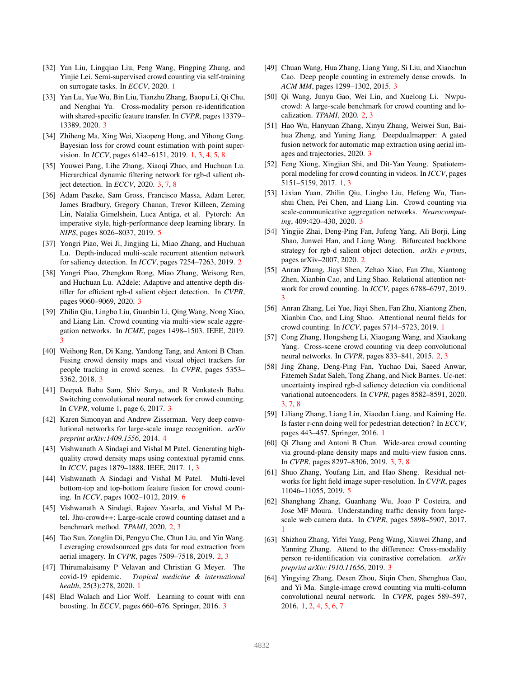- [32] Yan Liu, Lingqiao Liu, Peng Wang, Pingping Zhang, and Yinjie Lei. Semi-supervised crowd counting via self-training on surrogate tasks. In *ECCV*, 2020. 1
- [33] Yan Lu, Yue Wu, Bin Liu, Tianzhu Zhang, Baopu Li, Qi Chu, and Nenghai Yu. Cross-modality person re-identification with shared-specific feature transfer. In *CVPR*, pages 13379– 13389, 2020. 3
- [34] Zhiheng Ma, Xing Wei, Xiaopeng Hong, and Yihong Gong. Bayesian loss for crowd count estimation with point supervision. In *ICCV*, pages 6142–6151, 2019. 1, 3, 4, 5, 8
- [35] Youwei Pang, Lihe Zhang, Xiaoqi Zhao, and Huchuan Lu. Hierarchical dynamic filtering network for rgb-d salient object detection. In *ECCV*, 2020. 3, 7, 8
- [36] Adam Paszke, Sam Gross, Francisco Massa, Adam Lerer, James Bradbury, Gregory Chanan, Trevor Killeen, Zeming Lin, Natalia Gimelshein, Luca Antiga, et al. Pytorch: An imperative style, high-performance deep learning library. In *NIPS*, pages 8026–8037, 2019. 5
- [37] Yongri Piao, Wei Ji, Jingjing Li, Miao Zhang, and Huchuan Lu. Depth-induced multi-scale recurrent attention network for saliency detection. In *ICCV*, pages 7254–7263, 2019. 2
- [38] Yongri Piao, Zhengkun Rong, Miao Zhang, Weisong Ren, and Huchuan Lu. A2dele: Adaptive and attentive depth distiller for efficient rgb-d salient object detection. In *CVPR*, pages 9060–9069, 2020. 3
- [39] Zhilin Qiu, Lingbo Liu, Guanbin Li, Qing Wang, Nong Xiao, and Liang Lin. Crowd counting via multi-view scale aggregation networks. In *ICME*, pages 1498–1503. IEEE, 2019. 3
- [40] Weihong Ren, Di Kang, Yandong Tang, and Antoni B Chan. Fusing crowd density maps and visual object trackers for people tracking in crowd scenes. In *CVPR*, pages 5353– 5362, 2018. 3
- [41] Deepak Babu Sam, Shiv Surya, and R Venkatesh Babu. Switching convolutional neural network for crowd counting. In *CVPR*, volume 1, page 6, 2017. 3
- [42] Karen Simonyan and Andrew Zisserman. Very deep convolutional networks for large-scale image recognition. *arXiv preprint arXiv:1409.1556*, 2014. 4
- [43] Vishwanath A Sindagi and Vishal M Patel. Generating highquality crowd density maps using contextual pyramid cnns. In *ICCV*, pages 1879–1888. IEEE, 2017. 1, 3
- [44] Vishwanath A Sindagi and Vishal M Patel. Multi-level bottom-top and top-bottom feature fusion for crowd counting. In *ICCV*, pages 1002–1012, 2019. 6
- [45] Vishwanath A Sindagi, Rajeev Yasarla, and Vishal M Patel. Jhu-crowd++: Large-scale crowd counting dataset and a benchmark method. *TPAMI*, 2020. 2, 3
- [46] Tao Sun, Zonglin Di, Pengyu Che, Chun Liu, and Yin Wang. Leveraging crowdsourced gps data for road extraction from aerial imagery. In *CVPR*, pages 7509–7518, 2019. 2, 3
- [47] Thirumalaisamy P Velavan and Christian G Meyer. The covid-19 epidemic. *Tropical medicine & international health*, 25(3):278, 2020. 1
- [48] Elad Walach and Lior Wolf. Learning to count with cnn boosting. In *ECCV*, pages 660–676. Springer, 2016. 3
- [49] Chuan Wang, Hua Zhang, Liang Yang, Si Liu, and Xiaochun Cao. Deep people counting in extremely dense crowds. In *ACM MM*, pages 1299–1302, 2015. 3
- [50] Qi Wang, Junyu Gao, Wei Lin, and Xuelong Li. Nwpucrowd: A large-scale benchmark for crowd counting and localization. *TPAMI*, 2020. 2, 3
- [51] Hao Wu, Hanyuan Zhang, Xinyu Zhang, Weiwei Sun, Baihua Zheng, and Yuning Jiang. Deepdualmapper: A gated fusion network for automatic map extraction using aerial images and trajectories, 2020. 3
- [52] Feng Xiong, Xingjian Shi, and Dit-Yan Yeung. Spatiotemporal modeling for crowd counting in videos. In *ICCV*, pages 5151–5159, 2017. 1, 3
- [53] Lixian Yuan, Zhilin Qiu, Lingbo Liu, Hefeng Wu, Tianshui Chen, Pei Chen, and Liang Lin. Crowd counting via scale-communicative aggregation networks. *Neurocomputing*, 409:420–430, 2020. 3
- [54] Yingjie Zhai, Deng-Ping Fan, Jufeng Yang, Ali Borji, Ling Shao, Junwei Han, and Liang Wang. Bifurcated backbone strategy for rgb-d salient object detection. *arXiv e-prints*, pages arXiv–2007, 2020. 2
- [55] Anran Zhang, Jiayi Shen, Zehao Xiao, Fan Zhu, Xiantong Zhen, Xianbin Cao, and Ling Shao. Relational attention network for crowd counting. In *ICCV*, pages 6788–6797, 2019. 3
- [56] Anran Zhang, Lei Yue, Jiayi Shen, Fan Zhu, Xiantong Zhen, Xianbin Cao, and Ling Shao. Attentional neural fields for crowd counting. In *ICCV*, pages 5714–5723, 2019. 1
- [57] Cong Zhang, Hongsheng Li, Xiaogang Wang, and Xiaokang Yang. Cross-scene crowd counting via deep convolutional neural networks. In *CVPR*, pages 833–841, 2015. 2, 3
- [58] Jing Zhang, Deng-Ping Fan, Yuchao Dai, Saeed Anwar, Fatemeh Sadat Saleh, Tong Zhang, and Nick Barnes. Uc-net: uncertainty inspired rgb-d saliency detection via conditional variational autoencoders. In *CVPR*, pages 8582–8591, 2020. 3, 7, 8
- [59] Liliang Zhang, Liang Lin, Xiaodan Liang, and Kaiming He. Is faster r-cnn doing well for pedestrian detection? In *ECCV*, pages 443–457. Springer, 2016. 1
- [60] Qi Zhang and Antoni B Chan. Wide-area crowd counting via ground-plane density maps and multi-view fusion cnns. In *CVPR*, pages 8297–8306, 2019. 3, 7, 8
- [61] Shuo Zhang, Youfang Lin, and Hao Sheng. Residual networks for light field image super-resolution. In *CVPR*, pages 11046–11055, 2019. 5
- [62] Shanghang Zhang, Guanhang Wu, Joao P Costeira, and Jose MF Moura. Understanding traffic density from largescale web camera data. In *CVPR*, pages 5898–5907, 2017. 1
- [63] Shizhou Zhang, Yifei Yang, Peng Wang, Xiuwei Zhang, and Yanning Zhang. Attend to the difference: Cross-modality person re-identification via contrastive correlation. *arXiv preprint arXiv:1910.11656*, 2019. 3
- [64] Yingying Zhang, Desen Zhou, Siqin Chen, Shenghua Gao, and Yi Ma. Single-image crowd counting via multi-column convolutional neural network. In *CVPR*, pages 589–597, 2016. 1, 2, 4, 5, 6, 7